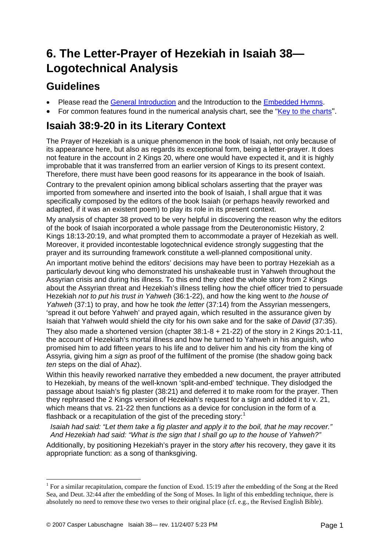# **6. The Letter-Prayer of Hezekiah in Isaiah 38— Logotechnical Analysis**

#### **Guidelines**

- Please read the [General Introduction](http://www.labuschagne.nl/aspects.pdf) and the Introduction to the [Embedded Hymns](http://www.labuschagne.nl/intro.embed.pdf).
- For common features found in the numerical analysis chart, see the ["Key to the charts"](http://www.labuschagne.nl/keytocharts.pdf).

### **Isaiah 38:9-20 in its Literary Context**

The Prayer of Hezekiah is a unique phenomenon in the book of Isaiah, not only because of its appearance here, but also as regards its exceptional form, being a letter-prayer. It does not feature in the account in 2 Kings 20, where one would have expected it, and it is highly improbable that it was transferred from an earlier version of Kings to its present context. Therefore, there must have been good reasons for its appearance in the book of Isaiah.

Contrary to the prevalent opinion among biblical scholars asserting that the prayer was imported from somewhere and inserted into the book of Isaiah, I shall argue that it was specifically composed by the editors of the book Isaiah (or perhaps heavily reworked and adapted, if it was an existent poem) to play its role in its present context.

My analysis of chapter 38 proved to be very helpful in discovering the reason why the editors of the book of Isaiah incorporated a whole passage from the Deuteronomistic History, 2 Kings 18:13-20:19, and what prompted them to accommodate a prayer of Hezekiah as well. Moreover, it provided incontestable logotechnical evidence strongly suggesting that the prayer and its surrounding framework constitute a well-planned compositional unity.

An important motive behind the editors' decisions may have been to portray Hezekiah as a particularly devout king who demonstrated his unshakeable trust in Yahweh throughout the Assyrian crisis and during his illness. To this end they cited the whole story from 2 Kings about the Assyrian threat and Hezekiah's illness telling how the chief officer tried to persuade Hezekiah *not to put his trust in Yahweh* (36:1-22), and how the king went to *the house of Yahweh* (37:1) to pray, and how he took *the letter* (37:14) from the Assyrian messengers, 'spread it out before Yahweh' and prayed again, which resulted in the assurance given by Isaiah that Yahweh would shield the city for his own sake and for the sake of *David* (37:35).

They also made a shortened version (chapter 38:1-8 + 21-22) of the story in 2 Kings 20:1-11, the account of Hezekiah's mortal illness and how he turned to Yahweh in his anguish, who promised him to add fifteen years to his life and to deliver him and his city from the king of Assyria, giving him *a sign* as proof of the fulfilment of the promise (the shadow going back *ten* steps on the dial of Ahaz).

Within this heavily reworked narrative they embedded a new document, the prayer attributed to Hezekiah, by means of the well-known 'split-and-embed' technique. They dislodged the passage about Isaiah's fig plaster (38:21) and deferred it to make room for the prayer. Then they rephrased the 2 Kings version of Hezekiah's request for a sign and added it to v. 21, which means that vs. 21-22 then functions as a device for conclusion in the form of a flashback or a recapitulation of the gist of the preceding story:<sup>[1](#page-0-0)</sup>

 *Isaiah had said: "Let them take a fig plaster and apply it to the boil, that he may recover." And Hezekiah had said: "What is the sign that I shall go up to the house of Yahweh?"* 

Additionally, by positioning Hezekiah's prayer in the story *after* his recovery, they gave it its appropriate function: as a song of thanksgiving.

1

<span id="page-0-0"></span><sup>&</sup>lt;sup>1</sup> For a similar recapitulation, compare the function of Exod. 15:19 after the embedding of the Song at the Reed Sea, and Deut. 32:44 after the embedding of the Song of Moses. In light of this embedding technique, there is absolutely no need to remove these two verses to their original place (cf. e.g., the Revised English Bible).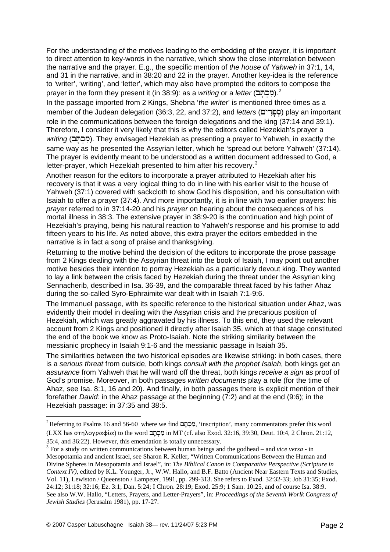For the understanding of the motives leading to the embedding of the prayer, it is important to direct attention to key-words in the narrative, which show the close interrelation between the narrative and the prayer. E.g., the specific mention of *the house of Yahweh* in 37:1, 14, and 31 in the narrative, and in 38:20 and 22 in the prayer. Another key-idea is the reference to 'writer', 'writing', and 'letter', which may also have prompted the editors to compose the prayer in the form they present it (in 38:9): as a *writing* or a *letter* (מִכְתָּב).<sup>[2](#page-1-0)</sup>

In the passage imported from 2 Kings, Shebna '*the writer*' is mentioned three times as a member of the Judean delegation (36:3, 22, and 37:2), and *letters* (הברים) play an important role in the communications between the foreign delegations and the king (37:14 and 39:1). Therefore, I consider it very likely that this is why the editors called Hezekiah's prayer a *writing* (מְכָתָּב). They envisaged Hezekiah as presenting a prayer to Yahweh, in exactly the same way as he presented the Assyrian letter, which he 'spread out before Yahweh' (37:14). The prayer is evidently meant to be understood as a written document addressed to God, a letter-prayer, which Hezekiah presented to him after his recovery. $3$ 

Another reason for the editors to incorporate a prayer attributed to Hezekiah after his recovery is that it was a very logical thing to do in line with his earlier visit to the house of Yahweh (37:1) covered with sackcloth to show God his disposition, and his consultation with Isaiah to offer a prayer (37:4). And more importantly, it is in line with two earlier prayers: his *prayer* referred to in 37:14-20 and his *prayer* on hearing about the consequences of his mortal illness in 38:3. The extensive prayer in 38:9-20 is the continuation and high point of Hezekiah's praying, being his natural reaction to Yahweh's response and his promise to add fifteen years to his life. As noted above, this extra prayer the editors embedded in the narrative is in fact a song of praise and thanksgiving.

Returning to the motive behind the decision of the editors to incorporate the prose passage from 2 Kings dealing with the Assyrian threat into the book of Isaiah, I may point out another motive besides their intention to portray Hezekiah as a particularly devout king. They wanted to lay a link between the crisis faced by Hezekiah during the threat under the Assyrian king Sennacherib, described in Isa. 36-39, and the comparable threat faced by his father Ahaz during the so-called Syro-Ephraimite war dealt with in Isaiah 7:1-9:6.

The Immanuel passage, with its specific reference to the historical situation under Ahaz, was evidently their model in dealing with the Assyrian crisis and the precarious position of Hezekiah, which was greatly aggravated by his illness. To this end, they used the relevant account from 2 Kings and positioned it directly after Isaiah 35, which at that stage constituted the end of the book we know as Proto-Isaiah. Note the striking similarity between the messianic prophecy in Isaiah 9:1-6 and the messianic passage in Isaiah 35.

The similarities between the two historical episodes are likewise striking: in both cases, there is a *serious threat* from outside, both kings *consult with the prophet Isaiah*, both kings get an *assurance* from Yahweh that he will ward off the threat, both kings *receive a sign* as proof of God's promise. Moreover, in both passages *written documents* play a role (for the time of Ahaz, see Isa. 8:1, 16 and 20). And finally, in both passages there is explicit mention of their forefather *David:* in the Ahaz passage at the beginning (7:2) and at the end (9:6); in the Hezekiah passage: in 37:35 and 38:5.

1

<span id="page-1-0"></span><sup>&</sup>lt;sup>2</sup> Referring to Psalms 16 and 56-60 where we find  $\Xi$ הֲלְהַתּ 'inscription', many commentators prefer this word (LXX has στηλογραφία) to the word  $\Xi$ η $\Xi$ αίπ MT (cf. also Exod. 32:16, 39:30, Deut. 10:4, 2 Chron. 21:12, 35:4, and 36:22). However, this emendation is totally unnecessary.

<span id="page-1-1"></span><sup>3</sup> For a study on written communications between human beings and the godhead – and *vice versa* - in Mesopotamia and ancient Israel, see Sharon R. Keller, "Written Communications Between the Human and Divine Spheres in Mesopotamia and Israel", in: *The Biblical Canon in Comparative Perspective (Scripture in Context IV),* edited by K.L. Younger, Jr., W.W. Hallo, and B.F. Batto (Ancient Near Eastern Texts and Studies, Vol. 11), Lewiston / Queenston / Lampeter, 1991, pp. 299-313. She refers to Exod. 32:32-33; Job 31:35; Exod. 24:12; 31:18; 32:16; Ez. 3:1; Dan. 5:24; I Chron. 28:19; Exod. 25:9; 1 Sam. 10:25, and of course Isa. 38:9. See also W.W. Hallo, "Letters, Prayers, and Letter-Prayers", in: *Proceedings of the Seventh Worlk Congress of Jewish Studies* (Jerusalm 1981), pp. 17-27.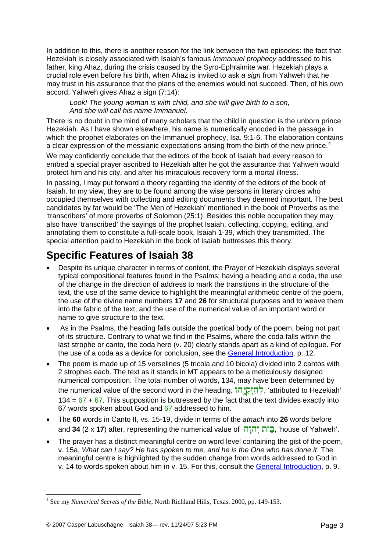In addition to this, there is another reason for the link between the two episodes: the fact that Hezekiah is closely associated with Isaiah's famous *Immanuel prophecy* addressed to his father, king Ahaz, during the crisis caused by the Syro-Ephraimite war. Hezekiah plays a crucial role even before his birth, when Ahaz is invited to ask *a sign* from Yahweh that he may trust in his assurance that the plans of the enemies would not succeed. Then, of his own accord, Yahweh gives Ahaz a sign (7:14):

 *Look! The young woman is with child, and she will give birth to a son, And she will call his name Immanuel.* 

There is no doubt in the mind of many scholars that the child in question is the unborn prince Hezekiah. As I have shown elsewhere, his name is numerically encoded in the passage in which the prophet elaborates on the Immanuel prophecy, Isa. 9:1-6. The elaboration contains a clear expression of the messianic expectations arising from the birth of the new prince.<sup>[4](#page-2-0)</sup>

We may confidently conclude that the editors of the book of Isaiah had every reason to embed a special prayer ascribed to Hezekiah after he got the assurance that Yahweh would protect him and his city, and after his miraculous recovery form a mortal illness.

In passing, I may put forward a theory regarding the identity of the editors of the book of Isaiah. In my view, they are to be found among the wise persons in literary circles who occupied themselves with collecting and editing documents they deemed important. The best candidates by far would be 'The Men of Hezekiah' mentioned in the book of Proverbs as the 'transcribers' of more proverbs of Solomon (25:1). Besides this noble occupation they may also have 'transcribed' the sayings of the prophet Isaiah, collecting, copying, editing, and annotating them to constitute a full-scale book, Isaiah 1-39, which they transmitted. The special attention paid to Hezekiah in the book of Isaiah buttresses this theory.

## **Specific Features of Isaiah 38**

- Despite its unique character in terms of content, the Prayer of Hezekiah displays several typical compositional features found in the Psalms: having a heading and a coda, the use of the change in the direction of address to mark the transitions in the structure of the text, the use of the same device to highlight the meaningful arithmetic centre of the poem, the use of the divine name numbers **17** and **26** for structural purposes and to weave them into the fabric of the text, and the use of the numerical value of an important word or name to give structure to the text.
- As in the Psalms, the heading falls outside the poetical body of the poem, being not part of its structure. Contrary to what we find in the Psalms, where the coda falls within the last strophe or canto, the coda here (v. 20) clearly stands apart as a kind of epilogue. For the use of a coda as a device for conclusion, see the [General Introduction,](http://www.labuschagne.nl/aspects.pdf) p. 12.
- The poem is made up of 15 verselines (5 tricola and 10 bicola) divided into 2 cantos with 2 strophes each. The text as it stands in MT appears to be a meticulously designed numerical composition. The total number of words, 134, may have been determined by the numerical value of the second word in the heading, יְחָזְקְיָה 'attributed to Hezekiah'  $134 = 67 + 67$ . This supposition is buttressed by the fact that the text divides exactly into 67 words spoken about God and 67 addressed to him.
- The **60** words in Canto II, vs. 15-19, divide in terms of the *atnach* into **26** words before and **34** (2 x **17**) after, representing the numerical value of הֲיֹת יְהוַה, 'house of Yahweh'.
- The prayer has a distinct meaningful centre on word level containing the gist of the poem, v. 15a, *What can I say? He has spoken to me, and he is the One who has done it*. The meaningful centre is highlighted by the sudden change from words addressed to God in v. 14 to words spoken about him in v. 15. For this, consult the [General Introduction,](http://www.labuschagne.nl/aspects.pdf) p. 9.

1

<span id="page-2-0"></span><sup>4</sup> See my *Numerical Secrets of the Bible*, North Richland Hills, Texas, 2000, pp. 149-153.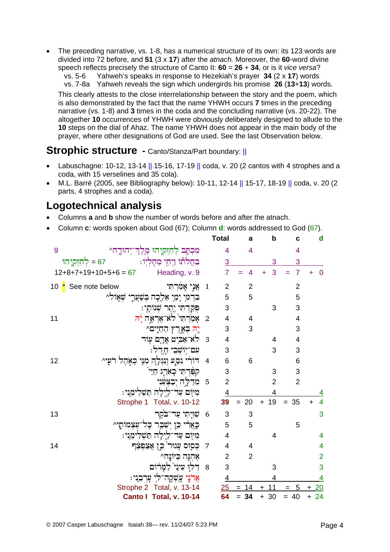• The preceding narrative, vs. 1-8, has a numerical structure of its own: its 123 words are divided into 72 before, and **51** (3 x **17**) after the *atnach.* Moreover, the **60**-word divine speech reflects precisely the structure of Canto II: **60** = **26** + **34**, or is it *vice versa*?

vs. 5-6 Yahweh's speaks in response to Hezekiah's prayer **34** (2 x **17**) words

 vs. 7-8a Yahweh reveals the sign which undergirds his promise **26** (**13**+**13**) words. This clearly attests to the close interrelationship between the story and the poem, which is also demonstrated by the fact that the name YHWH occurs **7** times in the preceding narrative (vs. 1-8) and **3** times in the coda and the concluding narrative (vs. 20-22). The altogether **10** occurrences of YHWH were obviously deliberately designed to allude to the **10** steps on the dial of Ahaz. The name YHWH does not appear in the main body of the prayer, where other designations of God are used. See the last Observation below.

#### **Strophic structure - Canto/Stanza/Part boundary: ||**

- Labuschagne: 10-12, 13-14  $\parallel$  15-16, 17-19  $\parallel$  coda, v. 20 (2 cantos with 4 strophes and a coda, with 15 verselines and 35 cola).
- M.L. Barré (2005, see Bibliography below): 10-11, 12-14 || 15-17, 18-19 || coda, v. 20 (2 parts, 4 strophes and a coda).

#### **Logotechnical analysis**

- Columns **a** and **b** show the number of words before and after the atnach.
- Column **c**: words spoken about God (67); Column **d**: words addressed to God (67).

|                                                           |                         | <b>Total</b>             | a              | $\mathbf b$    | C              | $\mathbf d$                 |
|-----------------------------------------------------------|-------------------------|--------------------------|----------------|----------------|----------------|-----------------------------|
| מִכְתָּב לְחִזְקִיָּהוּ מֶלֶדְ־יְהוּדֱה^<br>9             |                         | 4                        | 4              |                | 4              |                             |
| ּבַּחֲלֹתּוֹ וַיְחָי מֵחָלְיִוֹ<br>הזִקְיָהוּ $\zeta$     |                         | 3                        |                | 3              | 3              |                             |
| $12+8+7+19+10+5+6 = 67$ Heading, v. 9                     |                         | $\overline{7}$           | 4              | 3              | $\overline{7}$ | 0                           |
| See note below<br>10 $^{\star}$<br>אֲנֵי אָמַרְתִּי       | $\mathbf{1}$            | $\overline{2}$           | $\overline{2}$ |                | $\overline{2}$ |                             |
| בִּדְמִי יָמַיָ אֵלֶכְה בְּשַׁעֲרֵי שְׁאָוֹלִ^            |                         | 5                        | 5              |                | 5              |                             |
| פִּקַדְתִּי יֶתֶר שְׁנוֹתָי:                              |                         | 3                        |                | 3              | 3              |                             |
| אָמַׂרְתִי <sup>י</sup> לאִ־אֶרְאֱה יָ <del>ת</del><br>11 | $\overline{2}$          | $\overline{\mathcal{A}}$ | 4              |                | $\overline{4}$ |                             |
| יֵה בִּאֱרֵץ הַחַיִּים^                                   |                         | 3                        | 3              |                | 3              |                             |
| לא־אַבִּיט אָדֶם עִוּד                                    | $\overline{\mathbf{3}}$ | 4                        |                | 4              | $\overline{4}$ |                             |
| עם־יוֹשִׁבִי חַדֵל:                                       |                         | 3                        |                | 3              | 3              |                             |
| דּוֹרִי נִפַּעַ וְנִגְלָה מִנֶּי כְּאֲהֶל רֹעֵי^<br>12    | $\overline{4}$          | 6                        | 6              |                | 6              |                             |
| קִפָּרִתִּי כָאַרֶג חַיַּי                                |                         | 3                        |                | 3              | 3              |                             |
| מִרַלֵּה יִבַצִּעֵּנִי                                    | 5                       | $\overline{2}$           |                | $\overline{2}$ | $\overline{2}$ |                             |
| מִיּוֹם עַד־לַיְלַה תַּשְׁלִימֶנִי:                       |                         | $\overline{4}$           |                | 4              |                | 4                           |
| Strophe 1 Total, v. 10-12                                 |                         | 39                       | 20<br>$=$      | $+ 19$         | $= 35$         | $\overline{4}$<br>$\ddot{}$ |
| שִׁוּיָתִי עַד־בֹקֵר<br>13                                | - 6                     | $\mathbf{3}$             | 3              |                |                | 3                           |
| כָּאֲרִי כֵן יִשָּׁבֵר כָּל־עַצְמוֹתֵי^                   |                         | 5                        | 5              |                | 5              |                             |
| מִיּוֹם עַד־לַיִלָה תַּשָּׁלִימֶנִי:                      |                         | $\overline{\mathbf{4}}$  |                | 4              |                | 4                           |
| כְּסִוּּס עָנוּר כֵּן אֲצַפְצֵך<br>14                     | $\overline{7}$          | $\overline{\mathcal{A}}$ | 4              |                |                | $\overline{4}$              |
| אֶהְגֵּה כַיּוֹנַה^                                       |                         | $\overline{2}$           | $\overline{2}$ |                |                | $\overline{2}$              |
| דַלִּוּ עֵינַי` לַמָּרוֹם                                 | 8                       | 3                        |                | 3              |                | 3                           |
| אֲרֹנֵי עֲשְׂקָה־לִי עָרְבִנִי:                           |                         | $\overline{4}$           |                | 4              |                | 4                           |
| Strophe 2 Total, v. 13-14                                 |                         | 25                       | 14             | 11             | 5              | 20                          |
| Canto I Total, v. 10-14                                   |                         | 64                       | 34<br>$=$      | $+30$          | $= 40$         | $+24$                       |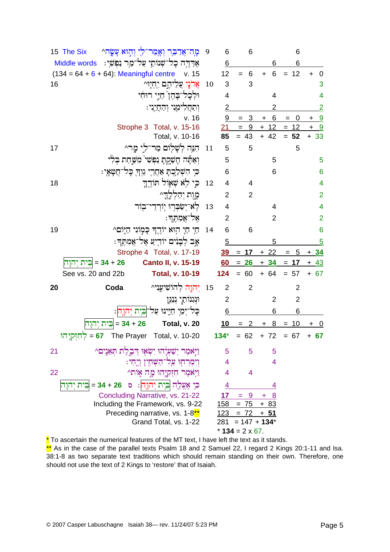|    | מָה־אֲדַבִּר וְאָמַר־לִי וְהִוּא עָשָׂה^<br>15 The Six               | 9                 | 6                        | 6              |                | 6              |                             |  |
|----|----------------------------------------------------------------------|-------------------|--------------------------|----------------|----------------|----------------|-----------------------------|--|
|    | אִרַּהֶה כָל־שִׁנוֹתַי עַל־מַר נַפִּשְׁי:<br>Middle words            |                   | 6                        |                | 6              | 6              |                             |  |
|    | $(134 = 64 + 6 + 64)$ : Meaningful centre<br>v. 15                   |                   | 12                       | $\,6$<br>$=$   | 6<br>$\ddot{}$ | $= 12$         | $\ddot{}$<br>$\mathbf 0$    |  |
| 16 | אֲדֹנֵי עֲלֵיהֶם יְחָיִוּ^                                           | 10                | 3                        | 3              |                |                | 3                           |  |
|    | וּלְכַל־בַּהֵן ׁחַיֵּי רוּחָי                                        |                   | 4                        |                | 4              |                | 4                           |  |
|    | וִתַחֲלִימֶנִי וִהַחֲיֶנִי:                                          |                   | $\overline{2}$           |                | 2              |                | $\overline{2}$              |  |
|    | v. 16                                                                |                   | 9                        | 3<br>$=$       | 6<br>+         | 0<br>$=$       | 9<br>+                      |  |
|    | Strophe 3 Total, v. 15-16                                            |                   | 21                       | $= 9$          | $+ 12 = 12$    |                | $\ddot{}$<br>9              |  |
|    | Total, v. 10-16                                                      |                   | 85                       | $= 43$         | $+ 42$         | $= 52$         | $+33$                       |  |
| 17 | הִנֵּה לְשָׁלִוֹם מַר־לִי מַר^                                       | 11                | 5                        | 5              |                | 5              |                             |  |
|    | וְאַתֶּה חָשָׁקִתְ נִפְשִׁי מִשָּׁחַת בְלִי                          |                   | 5                        |                | 5              |                | $\overline{5}$              |  |
|    | ּכִּי הִשְׁלַכְתָּ אַחֲרֵי גִּוְךָ כָּל־חֲטָאָי:                     |                   | 6                        |                | 6              |                | $6\phantom{1}6$             |  |
| 18 | כֵּי לִא שָׁאֲוֹל תּוֹדֶךָ                                           | 12                | $\overline{\mathcal{A}}$ | 4              |                |                | $\overline{\mathbf{4}}$     |  |
|    | מָוֶת יִהַלְלֶדֵי                                                    |                   | $\overline{2}$           | $\overline{2}$ |                |                | $\overline{2}$              |  |
|    | לְא-יְשַׂבְרִוּ יְוֹרְדֵי־בְוֹר                                      | 13                | $\overline{\mathcal{A}}$ |                | 4              |                | $\overline{4}$              |  |
|    | אֵל־אֲמָהֶד:                                                         |                   | 2                        |                | $\overline{2}$ |                | $\overline{2}$              |  |
| 19 | תַי תַיָ הְוּא יוֹדֶךְ כָּמְוֹנִי הַיָּוֹם^                          | 14                | 6                        | 6              |                |                | 6                           |  |
|    | אַב לְבָנִים יוֹדִיַע אֶל־אֲמָתֵךּ:                                  |                   | $\overline{5}$           |                | 5              |                | $\overline{5}$              |  |
|    | Strophe 4 Total, v. 17-19                                            |                   | <u>39</u>                | $= 17$         | $+22$          | 5<br>$=$       | $+34$                       |  |
|    | 26 + 34 = <mark>בֵּית יְהוָה</mark><br><b>Canto II, v. 15-19</b>     |                   | 60                       | $= 26$         | $+34$          | $= 17$         | $+ 43$                      |  |
|    | See vs. 20 and 22b<br><b>Total, v. 10-19</b>                         |                   | 124                      | $= 60$         | $+ 64$         | $= 57$         | $+ 67$                      |  |
| 20 | יִהוֶה לְהוֹשִׁיעֲנִי^<br>Coda                                       | 15                | $\overline{2}$           | $\overline{2}$ |                | $\overline{2}$ |                             |  |
|    | וּנְגִנוֹתַי נְנַגְּן                                                |                   | $\overline{2}$           |                | 2              | $\overline{2}$ |                             |  |
|    | כָּל־יְמֵי חַיֶּינוּ עַל־ בִּיִת יְהוָה :                            |                   | 6                        |                | 6              | 6              |                             |  |
|    | 26 + 34 = בֵּית יְהוַה<br>Total, v. 20                               |                   | 10                       | $= 2$          | 8<br>$+$       | $= 10$         | $\ddot{}$<br>$\overline{0}$ |  |
|    | The Prayer Total, v. 10-20<br>$\overline{\eta}$ לְחָזְקְיַהוּ $= 67$ |                   | $134*$                   | $= 62$         | $+ 72$         | $= 67$         | $+ 67$                      |  |
| 21 | וַיְאֹמֶר יְשַׁעְיָהוּ יִשְׂאָוּ דְּבֶלֶת תְּאֵנֶים^                 |                   | 5                        | 5              | 5              |                |                             |  |
|    | וְיִמְרְחְוּ עַל־הַשָּׁחָין וְיֶחִי:                                 |                   | 4                        |                | $\overline{4}$ |                |                             |  |
| 22 | וַיְאֹמֵר חָזִקְיָהוּ מָה אָוֹת^                                     |                   | 4                        | 4              |                |                |                             |  |
|    | כִּי אֶעֱלֶה בִּית יִהוָה:<br>26 + 34 = בֵּית יְהוַה<br>$\bullet$    |                   | 4                        |                | 4              |                |                             |  |
|    | <b>Concluding Narrative, vs. 21-22</b>                               |                   | 17                       | - 9<br>Ξ       | 8              |                |                             |  |
|    | Including the Framework, vs. 9-22                                    |                   | <u>158</u>               | $= 75$         | $+83$          |                |                             |  |
|    | Preceding narrative, vs. 1-8 <sup>**</sup>                           |                   | 123                      | $= 72$         | + 51           |                |                             |  |
|    | Grand Total, vs. 1-22                                                |                   | 281                      | $= 147 + 134*$ |                |                |                             |  |
|    |                                                                      | $*$ 134 = 2 x 67. |                          |                |                |                |                             |  |

\* To ascertain the numerical features of the MT text, I have left the text as it stands. \*\* As in the case of the parallel texts Psalm 18 and 2 Samuel 22, I regard 2 Kings 20:1-11 and Isa. 38:1-8 as two separate text traditions which should remain standing on their own. Therefore, one should not use the text of 2 Kings to 'restore' that of Isaiah.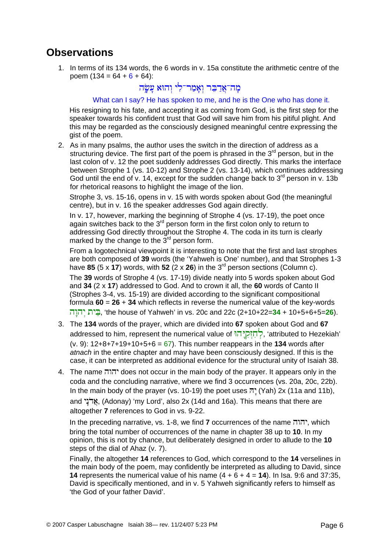#### **Observations**

1. In terms of its 134 words, the 6 words in v. 15a constitute the arithmetic centre of the poem  $(134 = 64 + 6 + 64)$ :

#### מה־אַדַבּר ואַמַר־לִי וַהוּא עַשָׂה

#### What can I say? He has spoken to me, and he is the One who has done it.

His resigning to his fate, and accepting it as coming from God, is the first step for the speaker towards his confident trust that God will save him from his pitiful plight. And this may be regarded as the consciously designed meaningful centre expressing the gist of the poem.

2. As in many psalms, the author uses the switch in the direction of address as a structuring device. The first part of the poem is phrased in the  $3<sup>rd</sup>$  person, but in the last colon of v. 12 the poet suddenly addresses God directly. This marks the interface between Strophe 1 (vs. 10-12) and Strophe 2 (vs. 13-14), which continues addressing God until the end of v. 14, except for the sudden change back to  $3<sup>rd</sup>$  person in v. 13b for rhetorical reasons to highlight the image of the lion.

Strophe 3, vs. 15-16, opens in v. 15 with words spoken about God (the meaningful centre), but in v. 16 the speaker addresses God again directly.

In v. 17, however, marking the beginning of Strophe 4 (vs. 17-19), the poet once again switches back to the 3<sup>rd</sup> person form in the first colon only to return to addressing God directly throughout the Strophe 4. The coda in its turn is clearly marked by the change to the  $3<sup>rd</sup>$  person form.

From a logotechnical viewpoint it is interesting to note that the first and last strophes are both composed of **39** words (the 'Yahweh is One' number), and that Strophes 1-3 have 85 (5 x 17) words, with 52 (2 x 26) in the 3<sup>rd</sup> person sections (Column c).

The **39** words of Strophe 4 (vs. 17-19) divide neatly into 5 words spoken about God and **34** (2 x **17**) addressed to God. And to crown it all, the **60** words of Canto II (Strophes 3-4, vs. 15-19) are divided according to the significant compositional formula **60** = **26** + **34** which reflects in reverse the numerical value of the key-words h√whÃy tyE–b, 'the house of Yahweh' in vs. 20c and 22c (2+10+22=**34** + 10+5+6+5=**26**).

- 3. The **134** words of the prayer, which are divided into **67** spoken about God and **67** addressed to him, represent the numerical value of יְחָזְקְיָּה (attributed to Hezekiah' (v. 9): 12+8+7+19+10+5+6 = 67). This number reappears in the **134** words after *atnach* in the entire chapter and may have been consciously designed. If this is the case, it can be interpreted as additional evidence for the structural unity of Isaiah 38.
- 4. The name hwhy does not occur in the main body of the prayer. It appears only in the coda and the concluding narrative, where we find 3 occurrences (vs. 20a, 20c, 22b). In the main body of the prayer (vs. 10-19) the poet uses  $\bar{n}$ <sup> $\prime$ </sup> (Yah) 2x (11a and 11b), and אֱדֹנֵי (Adonay) 'my Lord', also 2x (14d and 16a). This means that there are altogether **7** references to God in vs. 9-22.

In the preceding narrative, vs. 1-8, we find **7** occurrences of the name hwhy, which bring the total number of occurrences of the name in chapter 38 up to **10**. In my opinion, this is not by chance, but deliberately designed in order to allude to the **10** steps of the dial of Ahaz (v. 7).

Finally, the altogether **14** references to God, which correspond to the **14** verselines in the main body of the poem, may confidently be interpreted as alluding to David, since **14** represents the numerical value of his name  $(4 + 6 + 4 = 14)$ . In Isa. 9:6 and 37:35, David is specifically mentioned, and in v. 5 Yahweh significantly refers to himself as 'the God of your father David'.